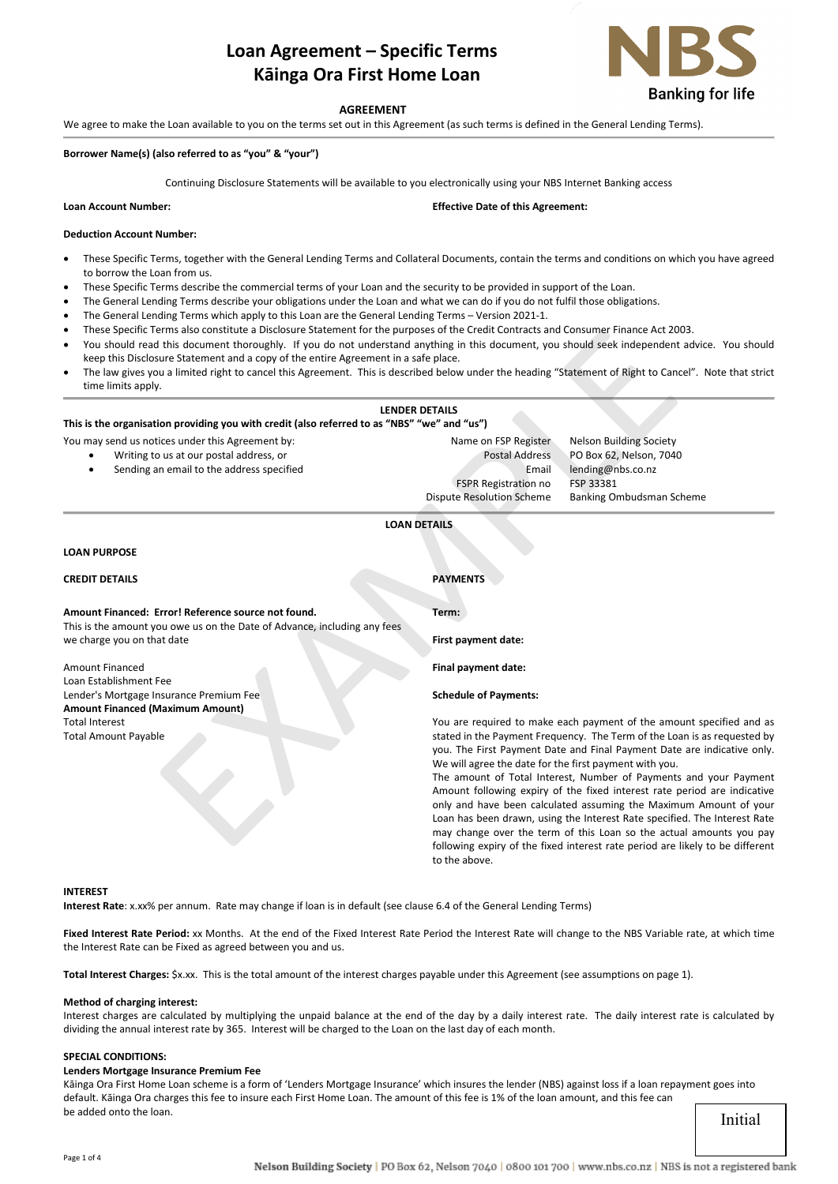# **Loan Agreement – Specific Terms Kāinga Ora First Home Loan**



## **AGREEMENT**

We agree to make the Loan available to you on the terms set out in this Agreement (as such terms is defined in the General Lending Terms).

#### **Borrower Name(s) (also referred to as "you" & "your")**

Continuing Disclosure Statements will be available to you electronically using your NBS Internet Banking access

|  | <b>Loan Account Number:</b> |  |  |
|--|-----------------------------|--|--|
|--|-----------------------------|--|--|

**Lean Effective Date of this Agreement:** 

#### **Deduction Account Number:**

- These Specific Terms, together with the General Lending Terms and Collateral Documents, contain the terms and conditions on which you have agreed to borrow the Loan from us.
- These Specific Terms describe the commercial terms of your Loan and the security to be provided in support of the Loan.
- The General Lending Terms describe your obligations under the Loan and what we can do if you do not fulfil those obligations.
- The General Lending Terms which apply to this Loan are the General Lending Terms Version 2021-1.
- These Specific Terms also constitute a Disclosure Statement for the purposes of the Credit Contracts and Consumer Finance Act 2003.
- You should read this document thoroughly. If you do not understand anything in this document, you should seek independent advice. You should keep this Disclosure Statement and a copy of the entire Agreement in a safe place.
- The law gives you a limited right to cancel this Agreement. This is described below under the heading "Statement of Right to Cancel". Note that strict time limits apply.

| These Specific Terms also constitute a Disclosure Statement for the purposes of the Credit Contracts and Consumer Finance Act 2003.<br>You should read this document thoroughly. If you do not understand anything in this document, you should seek independent advice. You<br>keep this Disclosure Statement and a copy of the entire Agreement in a safe place. |                                                                         |  |  |  |
|--------------------------------------------------------------------------------------------------------------------------------------------------------------------------------------------------------------------------------------------------------------------------------------------------------------------------------------------------------------------|-------------------------------------------------------------------------|--|--|--|
| The law gives you a limited right to cancel this Agreement. This is described below under the heading "Statement of Right to Cancel". Note tha<br>٠<br>time limits apply.                                                                                                                                                                                          |                                                                         |  |  |  |
|                                                                                                                                                                                                                                                                                                                                                                    | <b>LENDER DETAILS</b>                                                   |  |  |  |
| This is the organisation providing you with credit (also referred to as "NBS" "we" and "us")                                                                                                                                                                                                                                                                       |                                                                         |  |  |  |
| You may send us notices under this Agreement by:                                                                                                                                                                                                                                                                                                                   | Name on FSP Register<br><b>Nelson Building Society</b>                  |  |  |  |
| Writing to us at our postal address, or                                                                                                                                                                                                                                                                                                                            | <b>Postal Address</b><br>PO Box 62, Nelson, 7040                        |  |  |  |
| Sending an email to the address specified                                                                                                                                                                                                                                                                                                                          | lending@nbs.co.nz<br>Email                                              |  |  |  |
|                                                                                                                                                                                                                                                                                                                                                                    | FSP 33381<br><b>FSPR Registration no</b>                                |  |  |  |
|                                                                                                                                                                                                                                                                                                                                                                    | <b>Dispute Resolution Scheme</b><br>Banking Ombudsman Scheme            |  |  |  |
|                                                                                                                                                                                                                                                                                                                                                                    | <b>LOAN DETAILS</b>                                                     |  |  |  |
| <b>LOAN PURPOSE</b>                                                                                                                                                                                                                                                                                                                                                |                                                                         |  |  |  |
|                                                                                                                                                                                                                                                                                                                                                                    |                                                                         |  |  |  |
| <b>CREDIT DETAILS</b>                                                                                                                                                                                                                                                                                                                                              | <b>PAYMENTS</b>                                                         |  |  |  |
| Amount Financed: Error! Reference source not found.                                                                                                                                                                                                                                                                                                                | Term:                                                                   |  |  |  |
| This is the amount you owe us on the Date of Advance, including any fees                                                                                                                                                                                                                                                                                           |                                                                         |  |  |  |
| we charge you on that date                                                                                                                                                                                                                                                                                                                                         | First payment date:                                                     |  |  |  |
| <b>Amount Financed</b>                                                                                                                                                                                                                                                                                                                                             | Final payment date:                                                     |  |  |  |
| Loan Establishment Fee                                                                                                                                                                                                                                                                                                                                             |                                                                         |  |  |  |
| Lender's Mortgage Insurance Premium Fee                                                                                                                                                                                                                                                                                                                            | <b>Schedule of Payments:</b>                                            |  |  |  |
| <b>Amount Financed (Maximum Amount)</b>                                                                                                                                                                                                                                                                                                                            |                                                                         |  |  |  |
| <b>Total Interest</b>                                                                                                                                                                                                                                                                                                                                              | You are required to make each payment of the amount specified           |  |  |  |
| <b>Total Amount Payable</b>                                                                                                                                                                                                                                                                                                                                        | stated in the Payment Frequency. The Term of the Loan is as reques      |  |  |  |
|                                                                                                                                                                                                                                                                                                                                                                    | you. The First Payment Date and Final Payment Date are indicative       |  |  |  |
|                                                                                                                                                                                                                                                                                                                                                                    | We will agree the date for the first payment with you.                  |  |  |  |
|                                                                                                                                                                                                                                                                                                                                                                    | The amount of Total Interest, Number of Payments and your Pa            |  |  |  |
|                                                                                                                                                                                                                                                                                                                                                                    | Amount following expiry of the fixed interest rate period are ind       |  |  |  |
|                                                                                                                                                                                                                                                                                                                                                                    | only and have been calculated assuming the Maximum Amount o             |  |  |  |
|                                                                                                                                                                                                                                                                                                                                                                    | Loan has been drawn, using the Interest Rate specified. The Interes     |  |  |  |
|                                                                                                                                                                                                                                                                                                                                                                    | may change over the term of this Loan so the actual amounts yo          |  |  |  |
|                                                                                                                                                                                                                                                                                                                                                                    | following expiry of the fixed interest rate period are likely to be dif |  |  |  |

## **LOAN PURPOSE**

| <b>CREDIT DETAILS</b> | <b>PAYMENTS</b> |
|-----------------------|-----------------|
|-----------------------|-----------------|

| Amount Financed: Error! Reference source not found.                                                    | Term:                        |
|--------------------------------------------------------------------------------------------------------|------------------------------|
| This is the amount you owe us on the Date of Advance, including any fees<br>we charge you on that date | First payment date:          |
| Amount Financed                                                                                        | Final payment date:          |
| Loan Establishment Fee                                                                                 |                              |
| Lender's Mortgage Insurance Premium Fee                                                                | <b>Schedule of Payments:</b> |
| <b>Amount Financed (Maximum Amount)</b>                                                                |                              |
| <b>Total Interest</b>                                                                                  | You are required to m        |
| <b>Total Amount Payable</b>                                                                            | stated in the Payment I      |
|                                                                                                        | vou. The First Paymen        |

uired to make each payment of the amount specified and as e Payment Frequency. The Term of the Loan is as requested by rst Payment Date and Final Payment Date are indicative only. We will agree the date for the first payment with you.

The amount of Total Interest, Number of Payments and your Payment Amount following expiry of the fixed interest rate period are indicative only and have been calculated assuming the Maximum Amount of your Loan has been drawn, using the Interest Rate specified. The Interest Rate may change over the term of this Loan so the actual amounts you pay following expiry of the fixed interest rate period are likely to be different to the above.

#### **INTEREST**

**Interest Rate**: x.xx% per annum. Rate may change if loan is in default (see clause 6.4 of the General Lending Terms)

Fixed Interest Rate Period: xx Months. At the end of the Fixed Interest Rate Period the Interest Rate will change to the NBS Variable rate, at which time the Interest Rate can be Fixed as agreed between you and us.

**Total Interest Charges:** \$x.xx. This is the total amount of the interest charges payable under this Agreement (see assumptions on page 1).

#### **Method of charging interest:**

Interest charges are calculated by multiplying the unpaid balance at the end of the day by a daily interest rate. The daily interest rate is calculated by dividing the annual interest rate by 365. Interest will be charged to the Loan on the last day of each month.

#### **SPECIAL CONDITIONS:**

#### **Lenders Mortgage Insurance Premium Fee**

Kāinga Ora First Home Loan scheme is a form of 'Lenders Mortgage Insurance' which insures the lender (NBS) against loss if a loan repayment goes into default. Kāinga Ora charges this fee to insure each First Home Loan. The amount of this fee is 1% of the loan amount, and this fee can be added onto the loan.

Initial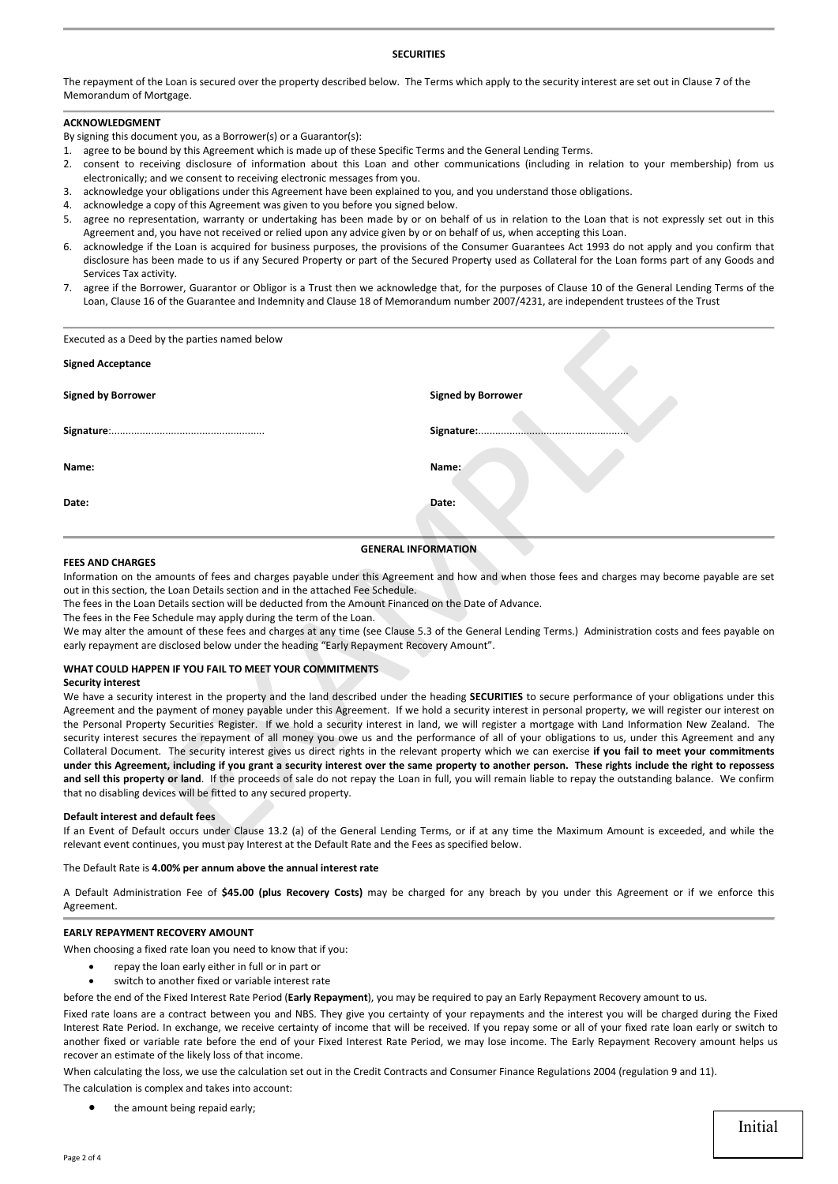## **SECURITIES**

The repayment of the Loan is secured over the property described below. The Terms which apply to the security interest are set out in Clause 7 of the Memorandum of Mortgage.

# **ACKNOWLEDGMENT**

By signing this document you, as a Borrower(s) or a Guarantor(s):

- 1. agree to be bound by this Agreement which is made up of these Specific Terms and the General Lending Terms.
- 2. consent to receiving disclosure of information about this Loan and other communications (including in relation to your membership) from us electronically; and we consent to receiving electronic messages from you.
- 3. acknowledge your obligations under this Agreement have been explained to you, and you understand those obligations.
- 4. acknowledge a copy of this Agreement was given to you before you signed below.
- 5. agree no representation, warranty or undertaking has been made by or on behalf of us in relation to the Loan that is not expressly set out in this Agreement and, you have not received or relied upon any advice given by or on behalf of us, when accepting this Loan.
- 6. acknowledge if the Loan is acquired for business purposes, the provisions of the Consumer Guarantees Act 1993 do not apply and you confirm that disclosure has been made to us if any Secured Property or part of the Secured Property used as Collateral for the Loan forms part of any Goods and Services Tax activity.
- 7. agree if the Borrower, Guarantor or Obligor is a Trust then we acknowledge that, for the purposes of Clause 10 of the General Lending Terms of the Loan, Clause 16 of the Guarantee and Indemnity and Clause 18 of Memorandum number 2007/4231, are independent trustees of the Trust

| Executed as a Deed by the parties named below                                                                                                                                                                                                                                                                                                                |                                                                                                                                                                                                                                                                                                                                                                                                                                                                                                                                                                                                                                                                                                                                                                                                                                                                                                                                                                                                                                                                                                                |
|--------------------------------------------------------------------------------------------------------------------------------------------------------------------------------------------------------------------------------------------------------------------------------------------------------------------------------------------------------------|----------------------------------------------------------------------------------------------------------------------------------------------------------------------------------------------------------------------------------------------------------------------------------------------------------------------------------------------------------------------------------------------------------------------------------------------------------------------------------------------------------------------------------------------------------------------------------------------------------------------------------------------------------------------------------------------------------------------------------------------------------------------------------------------------------------------------------------------------------------------------------------------------------------------------------------------------------------------------------------------------------------------------------------------------------------------------------------------------------------|
| <b>Signed Acceptance</b>                                                                                                                                                                                                                                                                                                                                     |                                                                                                                                                                                                                                                                                                                                                                                                                                                                                                                                                                                                                                                                                                                                                                                                                                                                                                                                                                                                                                                                                                                |
| <b>Signed by Borrower</b>                                                                                                                                                                                                                                                                                                                                    | <b>Signed by Borrower</b>                                                                                                                                                                                                                                                                                                                                                                                                                                                                                                                                                                                                                                                                                                                                                                                                                                                                                                                                                                                                                                                                                      |
|                                                                                                                                                                                                                                                                                                                                                              | Signature:                                                                                                                                                                                                                                                                                                                                                                                                                                                                                                                                                                                                                                                                                                                                                                                                                                                                                                                                                                                                                                                                                                     |
| Name:                                                                                                                                                                                                                                                                                                                                                        | Name:                                                                                                                                                                                                                                                                                                                                                                                                                                                                                                                                                                                                                                                                                                                                                                                                                                                                                                                                                                                                                                                                                                          |
| Date:                                                                                                                                                                                                                                                                                                                                                        | Date:                                                                                                                                                                                                                                                                                                                                                                                                                                                                                                                                                                                                                                                                                                                                                                                                                                                                                                                                                                                                                                                                                                          |
| <b>FEES AND CHARGES</b>                                                                                                                                                                                                                                                                                                                                      | <b>GENERAL INFORMATION</b>                                                                                                                                                                                                                                                                                                                                                                                                                                                                                                                                                                                                                                                                                                                                                                                                                                                                                                                                                                                                                                                                                     |
| out in this section, the Loan Details section and in the attached Fee Schedule.<br>The fees in the Loan Details section will be deducted from the Amount Financed on the Date of Advance.<br>The fees in the Fee Schedule may apply during the term of the Loan.<br>early repayment are disclosed below under the heading "Early Repayment Recovery Amount". | Information on the amounts of fees and charges payable under this Agreement and how and when those fees and charges may become payable are set<br>We may alter the amount of these fees and charges at any time (see Clause 5.3 of the General Lending Terms.) Administration costs and fees payable on                                                                                                                                                                                                                                                                                                                                                                                                                                                                                                                                                                                                                                                                                                                                                                                                        |
| WHAT COULD HAPPEN IF YOU FAIL TO MEET YOUR COMMITMENTS                                                                                                                                                                                                                                                                                                       |                                                                                                                                                                                                                                                                                                                                                                                                                                                                                                                                                                                                                                                                                                                                                                                                                                                                                                                                                                                                                                                                                                                |
| <b>Security interest</b><br>that no disabling devices will be fitted to any secured property.                                                                                                                                                                                                                                                                | We have a security interest in the property and the land described under the heading SECURITIES to secure performance of your obligations under this<br>Agreement and the payment of money payable under this Agreement. If we hold a security interest in personal property, we will register our interest on<br>the Personal Property Securities Register. If we hold a security interest in land, we will register a mortgage with Land Information New Zealand. The<br>security interest secures the repayment of all money you owe us and the performance of all of your obligations to us, under this Agreement and any<br>Collateral Document. The security interest gives us direct rights in the relevant property which we can exercise if you fail to meet your commitments<br>under this Agreement, including if you grant a security interest over the same property to another person. These rights include the right to repossess<br>and sell this property or land. If the proceeds of sale do not repay the Loan in full, you will remain liable to repay the outstanding balance. We confirm |
| Default interest and default fees<br>relevant event continues, you must pay Interest at the Default Rate and the Fees as specified below.                                                                                                                                                                                                                    | If an Event of Default occurs under Clause 13.2 (a) of the General Lending Terms, or if at any time the Maximum Amount is exceeded, and while the                                                                                                                                                                                                                                                                                                                                                                                                                                                                                                                                                                                                                                                                                                                                                                                                                                                                                                                                                              |

#### **FEES AND CHARGES**

#### **WHAT COULD HAPPEN IF YOU FAIL TO MEET YOUR COMMITMENTS**

#### **Security interest**

#### **Default interest and default fees**

If an Event of Default occurs under Clause 13.2 (a) of the General Lending Terms, or if at any time the Maximum Amount is exceeded, and while the relevant event continues, you must pay Interest at the Default Rate and the Fees as specified below.

## The Default Rate is **4.00% per annum above the annual interest rate**

A Default Administration Fee of **\$45.00 (plus Recovery Costs)** may be charged for any breach by you under this Agreement or if we enforce this Agreement.

## **EARLY REPAYMENT RECOVERY AMOUNT**

When choosing a fixed rate loan you need to know that if you:

- repay the loan early either in full or in part or
- switch to another fixed or variable interest rate

before the end of the Fixed Interest Rate Period (**Early Repayment**), you may be required to pay an Early Repayment Recovery amount to us.

Fixed rate loans are a contract between you and NBS. They give you certainty of your repayments and the interest you will be charged during the Fixed Interest Rate Period. In exchange, we receive certainty of income that will be received. If you repay some or all of your fixed rate loan early or switch to another fixed or variable rate before the end of your Fixed Interest Rate Period, we may lose income. The Early Repayment Recovery amount helps us recover an estimate of the likely loss of that income.

When calculating the loss, we use the calculation set out in the Credit Contracts and Consumer Finance Regulations 2004 (regulation 9 and 11).

The calculation is complex and takes into account:

the amount being repaid early;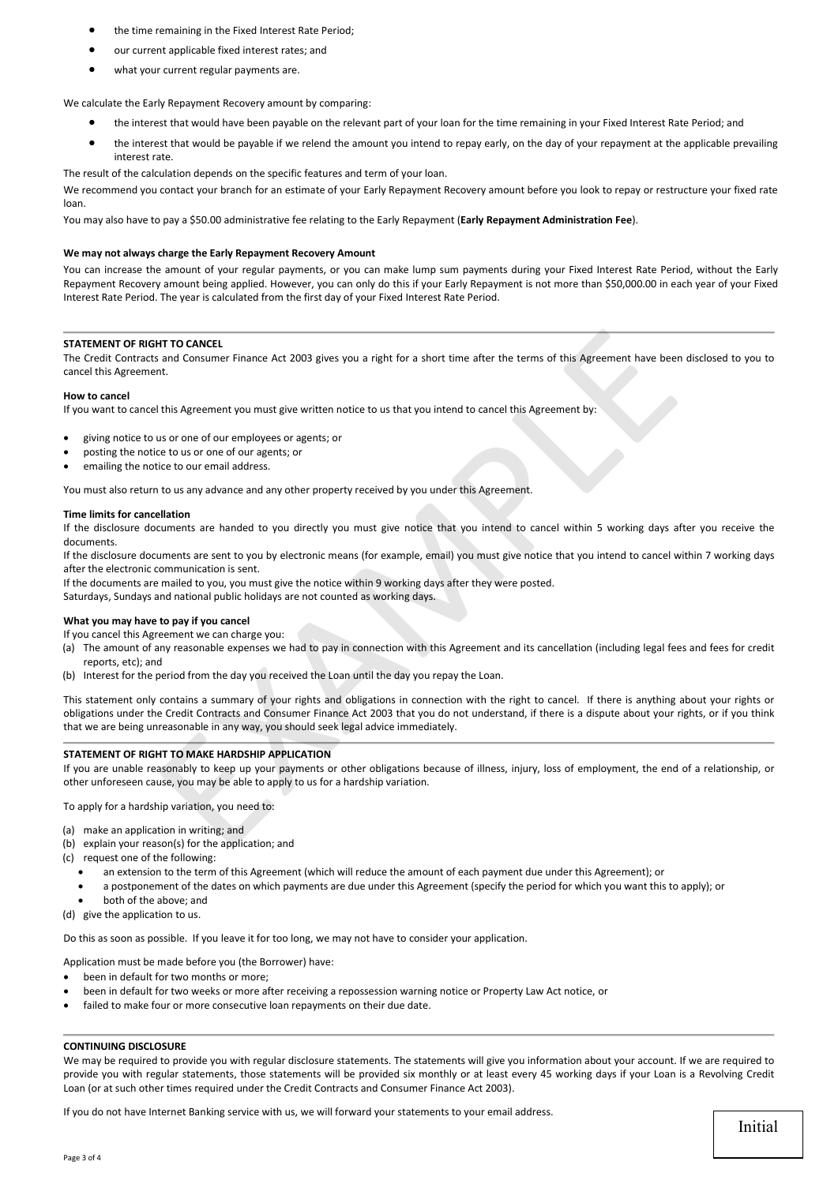- the time remaining in the Fixed Interest Rate Period;
- our current applicable fixed interest rates; and
- what your current regular payments are.

We calculate the Early Repayment Recovery amount by comparing:

- the interest that would have been payable on the relevant part of your loan for the time remaining in your Fixed Interest Rate Period; and
- the interest that would be payable if we relend the amount you intend to repay early, on the day of your repayment at the applicable prevailing interest rate.

The result of the calculation depends on the specific features and term of your loan.

We recommend you contact your branch for an estimate of your Early Repayment Recovery amount before you look to repay or restructure your fixed rate loan.

You may also have to pay a \$50.00 administrative fee relating to the Early Repayment (**Early Repayment Administration Fee**).

## **We may not always charge the Early Repayment Recovery Amount**

You can increase the amount of your regular payments, or you can make lump sum payments during your Fixed Interest Rate Period, without the Early Repayment Recovery amount being applied. However, you can only do this if your Early Repayment is not more than \$50,000.00 in each year of your Fixed Interest Rate Period. The year is calculated from the first day of your Fixed Interest Rate Period.

# **STATEMENT OF RIGHT TO CANCEL**

The Credit Contracts and Consumer Finance Act 2003 gives you a right for a short time after the terms of this Agreement have been disclosed to you to cancel this Agreement.

## **How to cancel**

If you want to cancel this Agreement you must give written notice to us that you intend to cancel this Agreement by:

- giving notice to us or one of our employees or agents; or
- posting the notice to us or one of our agents; or
- emailing the notice to our email address.

You must also return to us any advance and any other property received by you under this Agreement.

## **Time limits for cancellation**

If the disclosure documents are handed to you directly you must give notice that you intend to cancel within 5 working days after you receive the documents.

If the disclosure documents are sent to you by electronic means (for example, email) you must give notice that you intend to cancel within 7 working days after the electronic communication is sent.

If the documents are mailed to you, you must give the notice within 9 working days after they were posted.

Saturdays, Sundays and national public holidays are not counted as working days.

## **What you may have to pay if you cancel**

If you cancel this Agreement we can charge you:

- (a) The amount of any reasonable expenses we had to pay in connection with this Agreement and its cancellation (including legal fees and fees for credit reports, etc); and
- (b) Interest for the period from the day you received the Loan until the day you repay the Loan.

This statement only contains a summary of your rights and obligations in connection with the right to cancel. If there is anything about your rights or obligations under the Credit Contracts and Consumer Finance Act 2003 that you do not understand, if there is a dispute about your rights, or if you think that we are being unreasonable in any way, you should seek legal advice immediately. HTTO CANCEL<br>and Consumer Finance Act 2003 gives you a right for a short time after the terms of this Agreement have been<br>this Agreement you must give written notice to us that you intend to cancel this Agreement by:<br>the th

## **STATEMENT OF RIGHT TO MAKE HARDSHIP APPLICATION**

If you are unable reasonably to keep up your payments or other obligations because of illness, injury, loss of employment, the end of a relationship, or other unforeseen cause, you may be able to apply to us for a hardship variation.

To apply for a hardship variation, you need to:

- (a) make an application in writing; and
- (b) explain your reason(s) for the application; and
- (c) request one of the following:
	- an extension to the term of this Agreement (which will reduce the amount of each payment due under this Agreement); or
		- a postponement of the dates on which payments are due under this Agreement (specify the period for which you want this to apply); or
	- both of the above; and
- (d) give the application to us.

Do this as soon as possible. If you leave it for too long, we may not have to consider your application.

Application must be made before you (the Borrower) have:

- been in default for two months or more:
- been in default for two weeks or more after receiving a repossession warning notice or Property Law Act notice, or
- failed to make four or more consecutive loan repayments on their due date.

## **CONTINUING DISCLOSURE**

We may be required to provide you with regular disclosure statements. The statements will give you information about your account. If we are required to provide you with regular statements, those statements will be provided six monthly or at least every 45 working days if your Loan is a Revolving Credit Loan (or at such other times required under the Credit Contracts and Consumer Finance Act 2003).

If you do not have Internet Banking service with us, we will forward your statements to your email address.